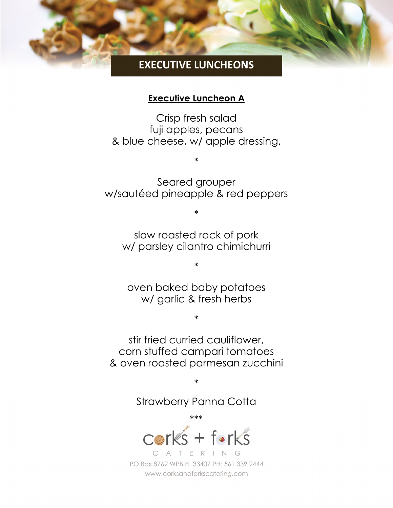# **EXECUTIVE LUNCHEONS**

#### **Executive Luncheon A**

Crisp fresh salad fuji apples, pecans & blue cheese, w/ apple dressing,

Seared grouper w/sautéed pineapple & red peppers

\*

slow roasted rack of pork w/ parsley cilantro chimichurri

\*

oven baked baby potatoes w/ garlic & fresh herbs

\*

\*

stir fried curried cauliflower, corn stuffed campari tomatoes & oven roasted parmesan zucchini

Strawberry Panna Cotta

\*\*\*

\*

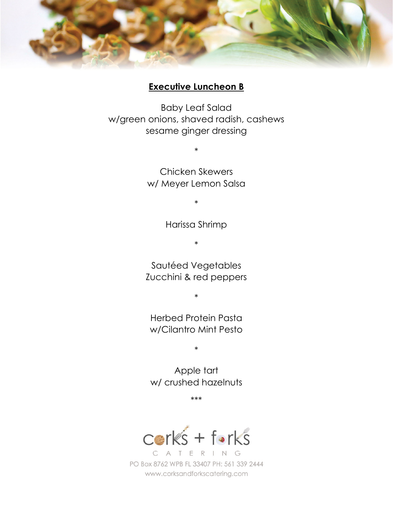

#### **Executive Luncheon B**

Baby Leaf Salad w/green onions, shaved radish, cashews sesame ginger dressing

> Chicken Skewers w/ Meyer Lemon Salsa

\*

\*

Harissa Shrimp

\*

Sautéed Vegetables Zucchini & red peppers

\*

Herbed Protein Pasta w/Cilantro Mint Pesto

\*

Apple tart w/ crushed hazelnuts

\*\*\*

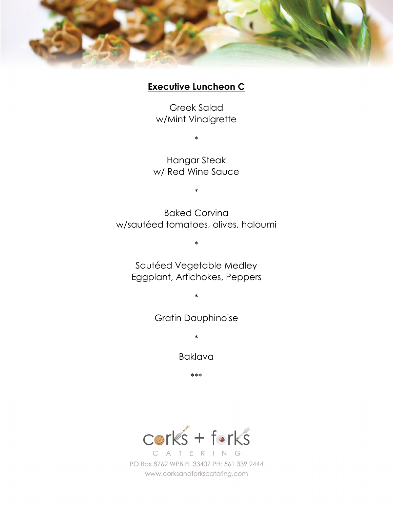

### **Executive Luncheon C**

Greek Salad w/Mint Vinaigrette

\*

Hangar Steak w/ Red Wine Sauce

\*

Baked Corvina w/sautéed tomatoes, olives, haloumi

\*

Sautéed Vegetable Medley Eggplant, Artichokes, Peppers

\*

Gratin Dauphinoise

\*

Baklava

\*\*\*

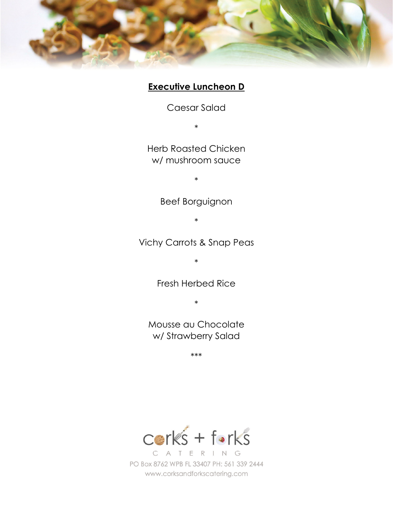

## **Executive Luncheon D**

Caesar Salad

\*

Herb Roasted Chicken w/ mushroom sauce

\*

Beef Borguignon

\*

Vichy Carrots & Snap Peas

\*

Fresh Herbed Rice

\*

Mousse au Chocolate w/ Strawberry Salad

\*\*\*

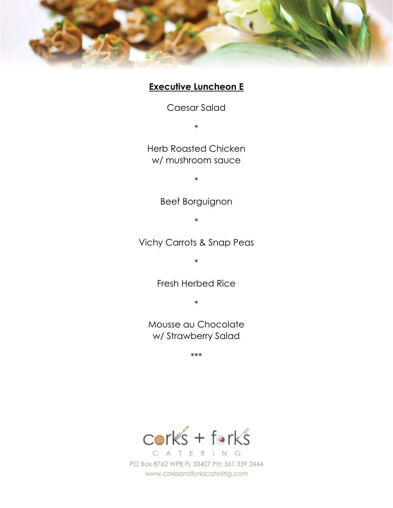

## **Executive Luncheon E**

Caesar Salad

\*

Herb Roasted Chicken w/ mushroom sauce

\*

Beef Borguignon

\*

Vichy Carrots & Snap Peas

\*

Fresh Herbed Rice

\*

Mousse au Chocolate w/ Strawberry Salad

\*\*\*